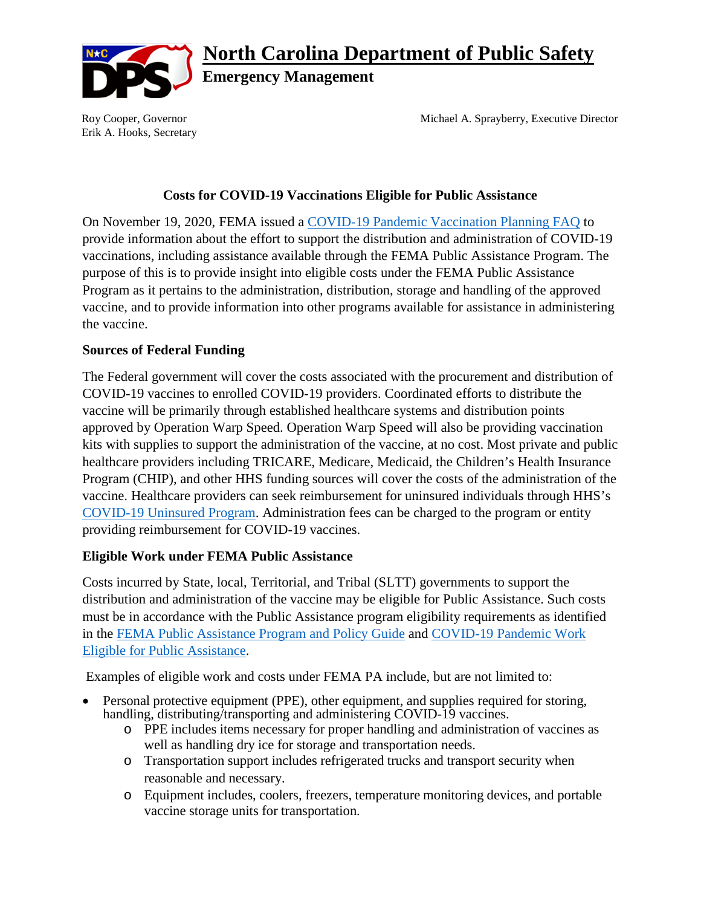

**North Carolina Department of Public Safety**

**Emergency Management**

Erik A. Hooks, Secretary

Roy Cooper, Governor Michael A. Sprayberry, Executive Director

### **Costs for COVID-19 Vaccinations Eligible for Public Assistance**

On November 19, 2020, FEMA issued a [COVID-19 Pandemic Vaccination Planning FAQ](https://www.fema.gov/sites/default/files/documents/fema_covid-19-vaccination-planning_faq_11-19-2020.pdf) to provide information about the effort to support the distribution and administration of COVID-19 vaccinations, including assistance available through the FEMA Public Assistance Program. The purpose of this is to provide insight into eligible costs under the FEMA Public Assistance Program as it pertains to the administration, distribution, storage and handling of the approved vaccine, and to provide information into other programs available for assistance in administering the vaccine.

### **Sources of Federal Funding**

The Federal government will cover the costs associated with the procurement and distribution of COVID-19 vaccines to enrolled COVID-19 providers. Coordinated efforts to distribute the vaccine will be primarily through established healthcare systems and distribution points approved by Operation Warp Speed. Operation Warp Speed will also be providing vaccination kits with supplies to support the administration of the vaccine, at no cost. Most private and public healthcare providers including TRICARE, Medicare, Medicaid, the Children's Health Insurance Program (CHIP), and other HHS funding sources will cover the costs of the administration of the vaccine. Healthcare providers can seek reimbursement for uninsured individuals through HHS's [COVID-19 Uninsured Program.](https://www.hrsa.gov/coviduninsuredclaim) Administration fees can be charged to the program or entity providing reimbursement for COVID-19 vaccines.

#### **Eligible Work under FEMA Public Assistance**

Costs incurred by State, local, Territorial, and Tribal (SLTT) governments to support the distribution and administration of the vaccine may be eligible for Public Assistance. Such costs must be in accordance with the Public Assistance program eligibility requirements as identified in the [FEMA Public Assistance Program and Policy Guide](https://www.fema.gov/sites/default/files/2020-03/public-assistance-program-and-policy-guide_v3.1_4-26-2018.pdf) and [COVID-19 Pandemic Work](https://www.fema.gov/sites/default/files/2020-09/fema_policy_104-009-19_PA-eligibility-policy-covid.pdf)  [Eligible for Public Assistance.](https://www.fema.gov/sites/default/files/2020-09/fema_policy_104-009-19_PA-eligibility-policy-covid.pdf)

Examples of eligible work and costs under FEMA PA include, but are not limited to:

- Personal protective equipment (PPE), other equipment, and supplies required for storing, handling, distributing/transporting and administering COVID-19 vaccines.
	- o PPE includes items necessary for proper handling and administration of vaccines as well as handling dry ice for storage and transportation needs.
	- o Transportation support includes refrigerated trucks and transport security when reasonable and necessary.
	- o Equipment includes, coolers, freezers, temperature monitoring devices, and portable vaccine storage units for transportation.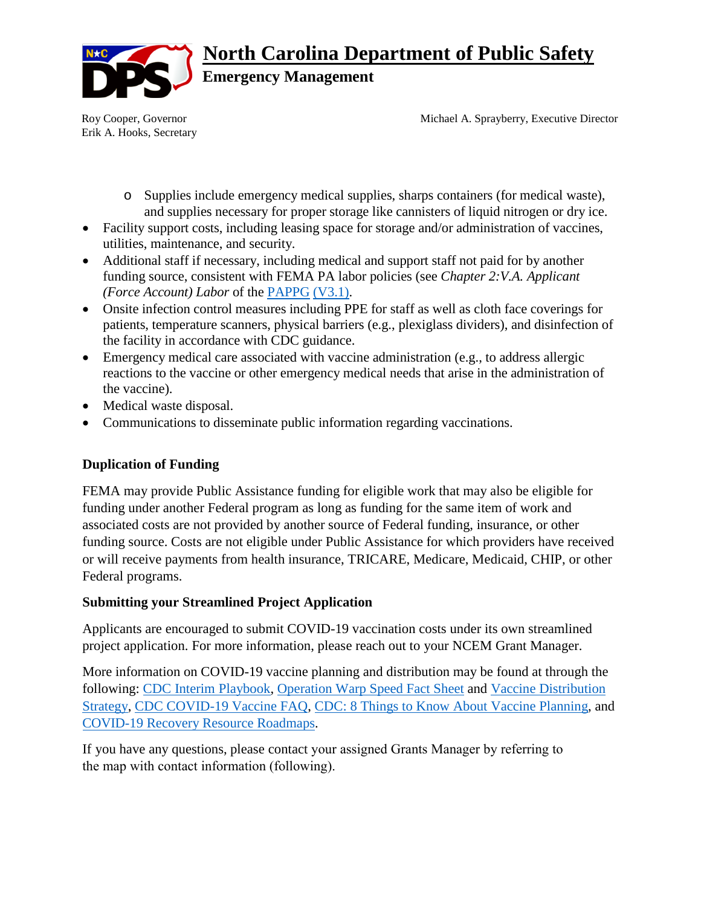**North Carolina Department of Public Safety**



# **Emergency Management**

Erik A. Hooks, Secretary

Roy Cooper, Governor Michael A. Sprayberry, Executive Director

- o Supplies include emergency medical supplies, sharps containers (for medical waste), and supplies necessary for proper storage like cannisters of liquid nitrogen or dry ice.
- Facility support costs, including leasing space for storage and/or administration of vaccines, utilities, maintenance, and security.
- Additional staff if necessary, including medical and support staff not paid for by another funding source, consistent with FEMA PA labor policies (see *Chapter 2:V.A. Applicant (Force Account) Labor* of the [PAPPG](http://www.fema.gov/sites/default/files/2020-03/public-assistance-program-and-policy-guide_v3.1_4-26-2018.pdf) [\(V3.1\).](http://www.fema.gov/sites/default/files/2020-03/public-assistance-program-and-policy-guide_v3.1_4-26-2018.pdf)
- Onsite infection control measures including PPE for staff as well as cloth face coverings for patients, temperature scanners, physical barriers (e.g., plexiglass dividers), and disinfection of the facility in accordance with CDC guidance.
- Emergency medical care associated with vaccine administration (e.g., to address allergic reactions to the vaccine or other emergency medical needs that arise in the administration of the vaccine).
- Medical waste disposal.
- Communications to disseminate public information regarding vaccinations.

## **Duplication of Funding**

FEMA may provide Public Assistance funding for eligible work that may also be eligible for funding under another Federal program as long as funding for the same item of work and associated costs are not provided by another source of Federal funding, insurance, or other funding source. Costs are not eligible under Public Assistance for which providers have received or will receive payments from health insurance, TRICARE, Medicare, Medicaid, CHIP, or other Federal programs.

## **Submitting your Streamlined Project Application**

Applicants are encouraged to submit COVID-19 vaccination costs under its own streamlined project application. For more information, please reach out to your NCEM Grant Manager.

More information on COVID-19 vaccine planning and distribution may be found at through the following: [CDC Interim Playbook,](https://www.cdc.gov/vaccines/imz-managers/downloads/COVID-19-Vaccination-Program-Interim_Playbook.pdf) [Operation Warp Speed Fact Sheet](https://www.hhs.gov/coronavirus/explaining-operation-warp-speed/index.html) and [Vaccine Distribution](https://www.hhs.gov/sites/default/files/strategy-for-distributing-covid-19-vaccine.pdf#:%7E:text=What%20This%20Strategy%20Aims%20to%20Do%20This%20report,doses%20to%20the%20American%20people%20beginning%20January%202021)  [Strategy,](https://www.hhs.gov/sites/default/files/strategy-for-distributing-covid-19-vaccine.pdf#:%7E:text=What%20This%20Strategy%20Aims%20to%20Do%20This%20report,doses%20to%20the%20American%20people%20beginning%20January%202021) [CDC COVID-19 Vaccine FAQ,](https://www.cdc.gov/coronavirus/2019-ncov/vaccines/faq.html) [CDC: 8 Things to Know About Vaccine Planning,](https://www.cdc.gov/coronavirus/2019-ncov/vaccines/8-things.html?ACSTrackingID=USCDC_2067-DM40798&ACSTrackingLabel=8%20Things%20to%20Know%20about%20Vaccine%20Planning%20%7C%20COVID-19&deliveryName=USCDC_2067-DM40798) and [COVID-19 Recovery Resource Roadmaps.](https://www.fema.gov/media-collection/resource-roadmaps) 

If you have any questions, please contact your assigned Grants Manager by referring to [the map with contact](mailto:pahotline@ncem.org) information (following).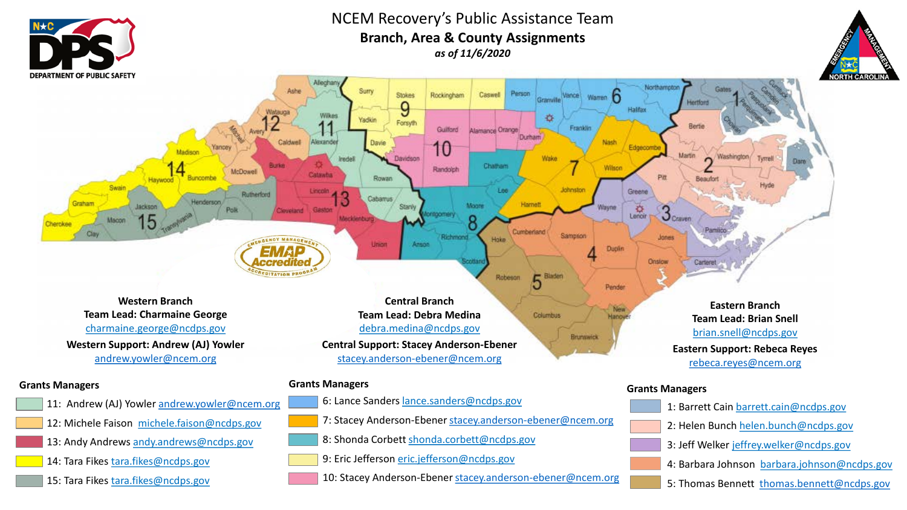